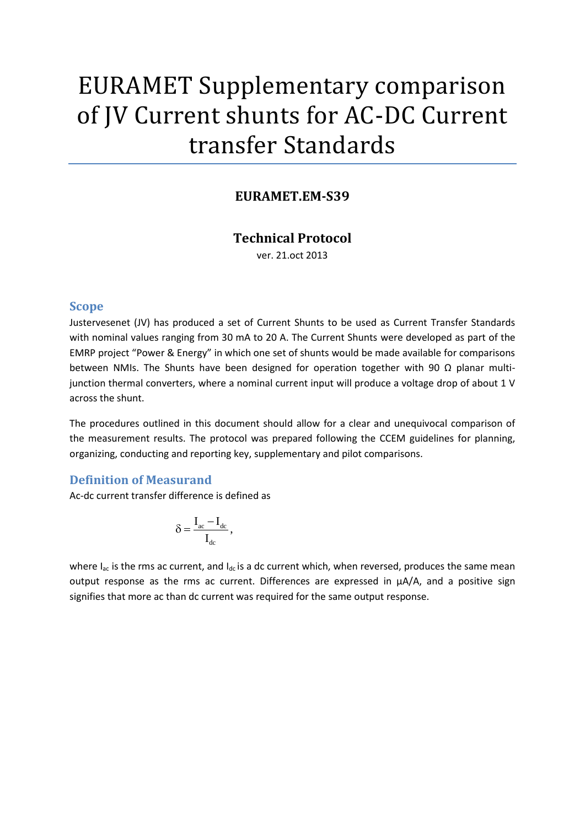# EURAMET Supplementary comparison of JV Current shunts for AC-DC Current transfer Standards

# **EURAMET.EM-S39**

## **Technical Protocol**

ver. 21.oct 2013

#### **Scope**

Justervesenet (JV) has produced a set of Current Shunts to be used as Current Transfer Standards with nominal values ranging from 30 mA to 20 A. The Current Shunts were developed as part of the EMRP project "Power & Energy" in which one set of shunts would be made available for comparisons between NMIs. The Shunts have been designed for operation together with 90  $\Omega$  planar multijunction thermal converters, where a nominal current input will produce a voltage drop of about 1 V across the shunt.

The procedures outlined in this document should allow for a clear and unequivocal comparison of the measurement results. The protocol was prepared following the CCEM guidelines for planning, organizing, conducting and reporting key, supplementary and pilot comparisons.

#### **Definition of Measurand**

Ac-dc current transfer difference is defined as

$$
\delta = \frac{I_{ac}-I_{dc}}{I_{dc}}\,,
$$

where  $I_{ac}$  is the rms ac current, and  $I_{dc}$  is a dc current which, when reversed, produces the same mean output response as the rms ac current. Differences are expressed in  $\mu A/A$ , and a positive sign signifies that more ac than dc current was required for the same output response.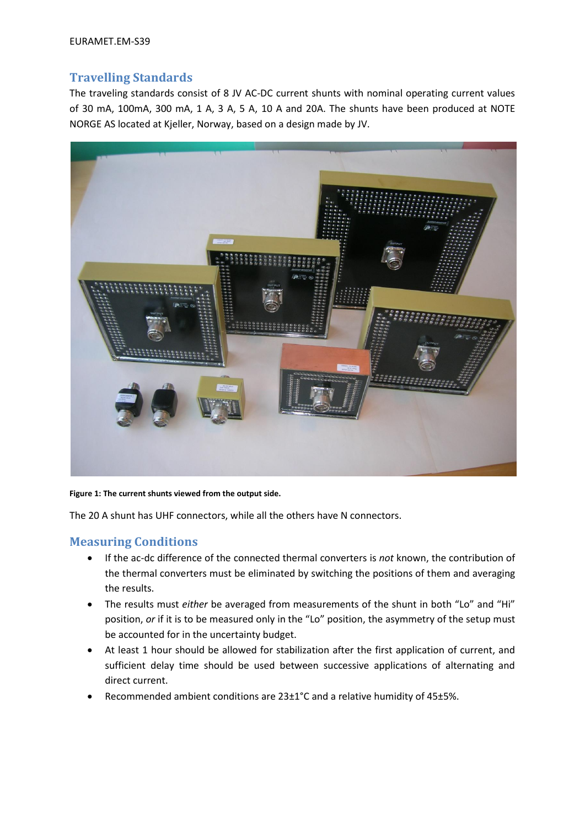# **Travelling Standards**

The traveling standards consist of 8 JV AC-DC current shunts with nominal operating current values of 30 mA, 100mA, 300 mA, 1 A, 3 A, 5 A, 10 A and 20A. The shunts have been produced at NOTE NORGE AS located at Kjeller, Norway, based on a design made by JV.



**Figure 1: The current shunts viewed from the output side.**

The 20 A shunt has UHF connectors, while all the others have N connectors.

### **Measuring Conditions**

- If the ac-dc difference of the connected thermal converters is *not* known, the contribution of the thermal converters must be eliminated by switching the positions of them and averaging the results.
- The results must *either* be averaged from measurements of the shunt in both "Lo" and "Hi" position, *or* if it is to be measured only in the "Lo" position, the asymmetry of the setup must be accounted for in the uncertainty budget.
- At least 1 hour should be allowed for stabilization after the first application of current, and sufficient delay time should be used between successive applications of alternating and direct current.
- Recommended ambient conditions are 23±1°C and a relative humidity of 45±5%.